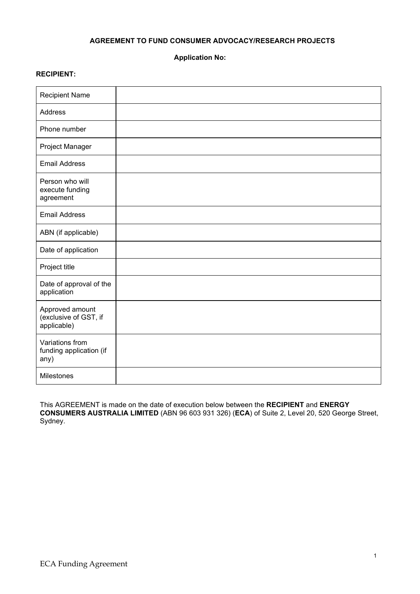## **AGREEMENT TO FUND CONSUMER ADVOCACY/RESEARCH PROJECTS**

**Application No:** 

### **RECIPIENT:**

| <b>Recipient Name</b>                                   |  |
|---------------------------------------------------------|--|
| Address                                                 |  |
| Phone number                                            |  |
| Project Manager                                         |  |
| <b>Email Address</b>                                    |  |
| Person who will<br>execute funding<br>agreement         |  |
| <b>Email Address</b>                                    |  |
| ABN (if applicable)                                     |  |
| Date of application                                     |  |
| Project title                                           |  |
| Date of approval of the<br>application                  |  |
| Approved amount<br>(exclusive of GST, if<br>applicable) |  |
| Variations from<br>funding application (if<br>any)      |  |
| Milestones                                              |  |

This AGREEMENT is made on the date of execution below between the **RECIPIENT** and **ENERGY CONSUMERS AUSTRALIA LIMITED** (ABN 96 603 931 326) (**ECA**) of Suite 2, Level 20, 520 George Street, Sydney.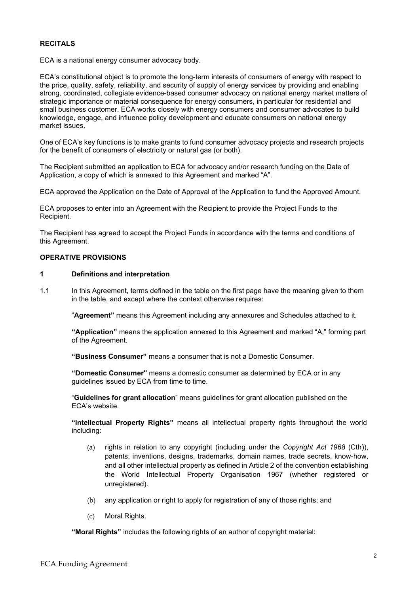### **RECITALS**

ECA is a national energy consumer advocacy body.

ECA's constitutional object is to promote the long-term interests of consumers of energy with respect to the price, quality, safety, reliability, and security of supply of energy services by providing and enabling strong, coordinated, collegiate evidence-based consumer advocacy on national energy market matters of strategic importance or material consequence for energy consumers, in particular for residential and small business customer. ECA works closely with energy consumers and consumer advocates to build knowledge, engage, and influence policy development and educate consumers on national energy market issues.

One of ECA's key functions is to make grants to fund consumer advocacy projects and research projects for the benefit of consumers of electricity or natural gas (or both).

The Recipient submitted an application to ECA for advocacy and/or research funding on the Date of Application, a copy of which is annexed to this Agreement and marked "A".

ECA approved the Application on the Date of Approval of the Application to fund the Approved Amount.

ECA proposes to enter into an Agreement with the Recipient to provide the Project Funds to the Recipient.

The Recipient has agreed to accept the Project Funds in accordance with the terms and conditions of this Agreement.

#### **OPERATIVE PROVISIONS**

### **1 Definitions and interpretation**

1.1 In this Agreement, terms defined in the table on the first page have the meaning given to them in the table, and except where the context otherwise requires:

"**Agreement"** means this Agreement including any annexures and Schedules attached to it.

**"Application"** means the application annexed to this Agreement and marked "A," forming part of the Agreement.

**"Business Consumer"** means a consumer that is not a Domestic Consumer.

**"Domestic Consumer"** means a domestic consumer as determined by ECA or in any guidelines issued by ECA from time to time.

"**Guidelines for grant allocation**" means guidelines for grant allocation published on the ECA's website.

**"Intellectual Property Rights"** means all intellectual property rights throughout the world including:

- (a) rights in relation to any copyright (including under the *Copyright Act 1968* (Cth)), patents, inventions, designs, trademarks, domain names, trade secrets, know-how, and all other intellectual property as defined in Article 2 of the convention establishing the World Intellectual Property Organisation 1967 (whether registered or unregistered).
- (b) any application or right to apply for registration of any of those rights; and
- (c) Moral Rights.

**"Moral Rights"** includes the following rights of an author of copyright material: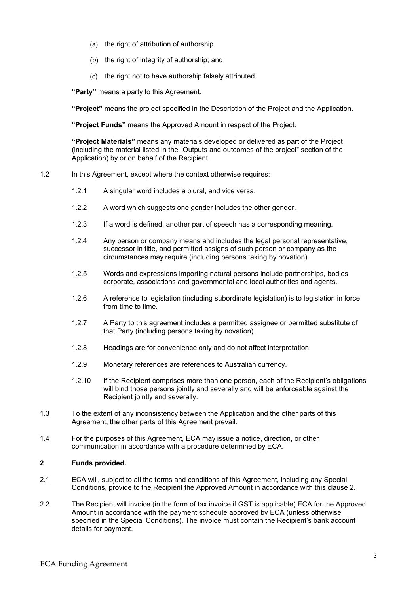- (a) the right of attribution of authorship.
- (b) the right of integrity of authorship; and
- (c) the right not to have authorship falsely attributed.

**"Party"** means a party to this Agreement.

**"Project"** means the project specified in the Description of the Project and the Application.

**"Project Funds"** means the Approved Amount in respect of the Project.

**"Project Materials"** means any materials developed or delivered as part of the Project (including the material listed in the "Outputs and outcomes of the project" section of the Application) by or on behalf of the Recipient.

### 1.2 In this Agreement, except where the context otherwise requires:

- 1.2.1 A singular word includes a plural, and vice versa.
- 1.2.2 A word which suggests one gender includes the other gender.
- 1.2.3 If a word is defined, another part of speech has a corresponding meaning.
- 1.2.4 Any person or company means and includes the legal personal representative, successor in title, and permitted assigns of such person or company as the circumstances may require (including persons taking by novation).
- 1.2.5 Words and expressions importing natural persons include partnerships, bodies corporate, associations and governmental and local authorities and agents.
- 1.2.6 A reference to legislation (including subordinate legislation) is to legislation in force from time to time.
- 1.2.7 A Party to this agreement includes a permitted assignee or permitted substitute of that Party (including persons taking by novation).
- 1.2.8 Headings are for convenience only and do not affect interpretation.
- 1.2.9 Monetary references are references to Australian currency.
- 1.2.10 If the Recipient comprises more than one person, each of the Recipient's obligations will bind those persons jointly and severally and will be enforceable against the Recipient jointly and severally.
- 1.3 To the extent of any inconsistency between the Application and the other parts of this Agreement, the other parts of this Agreement prevail.
- 1.4 For the purposes of this Agreement, ECA may issue a notice, direction, or other communication in accordance with a procedure determined by ECA.

### **2 Funds provided.**

- 2.1 ECA will, subject to all the terms and conditions of this Agreement, including any Special Conditions, provide to the Recipient the Approved Amount in accordance with this clause 2.
- 2.2 The Recipient will invoice (in the form of tax invoice if GST is applicable) ECA for the Approved Amount in accordance with the payment schedule approved by ECA (unless otherwise specified in the Special Conditions). The invoice must contain the Recipient's bank account details for payment.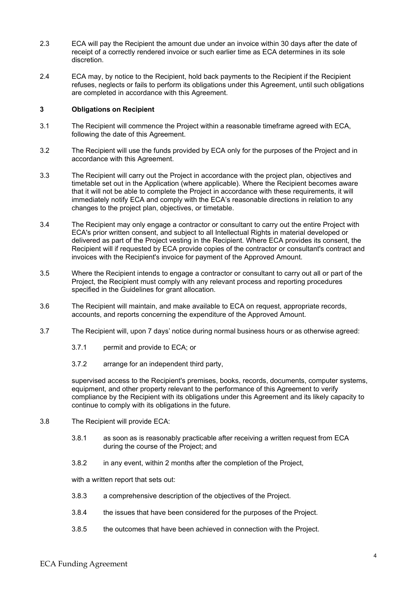- 2.3 ECA will pay the Recipient the amount due under an invoice within 30 days after the date of receipt of a correctly rendered invoice or such earlier time as ECA determines in its sole discretion.
- 2.4 ECA may, by notice to the Recipient, hold back payments to the Recipient if the Recipient refuses, neglects or fails to perform its obligations under this Agreement, until such obligations are completed in accordance with this Agreement.

#### **3 Obligations on Recipient**

- 3.1 The Recipient will commence the Project within a reasonable timeframe agreed with ECA, following the date of this Agreement.
- 3.2 The Recipient will use the funds provided by ECA only for the purposes of the Project and in accordance with this Agreement.
- 3.3 The Recipient will carry out the Project in accordance with the project plan, objectives and timetable set out in the Application (where applicable). Where the Recipient becomes aware that it will not be able to complete the Project in accordance with these requirements, it will immediately notify ECA and comply with the ECA's reasonable directions in relation to any changes to the project plan, objectives, or timetable.
- 3.4 The Recipient may only engage a contractor or consultant to carry out the entire Project with ECA's prior written consent, and subject to all Intellectual Rights in material developed or delivered as part of the Project vesting in the Recipient. Where ECA provides its consent, the Recipient will if requested by ECA provide copies of the contractor or consultant's contract and invoices with the Recipient's invoice for payment of the Approved Amount.
- 3.5 Where the Recipient intends to engage a contractor or consultant to carry out all or part of the Project, the Recipient must comply with any relevant process and reporting procedures specified in the Guidelines for grant allocation.
- 3.6 The Recipient will maintain, and make available to ECA on request, appropriate records, accounts, and reports concerning the expenditure of the Approved Amount.
- 3.7 The Recipient will, upon 7 days' notice during normal business hours or as otherwise agreed:
	- 3.7.1 permit and provide to ECA; or
	- 3.7.2 arrange for an independent third party,

supervised access to the Recipient's premises, books, records, documents, computer systems, equipment, and other property relevant to the performance of this Agreement to verify compliance by the Recipient with its obligations under this Agreement and its likely capacity to continue to comply with its obligations in the future.

- 3.8 The Recipient will provide ECA:
	- 3.8.1 as soon as is reasonably practicable after receiving a written request from ECA during the course of the Project; and
	- 3.8.2 in any event, within 2 months after the completion of the Project,

with a written report that sets out:

- 3.8.3 a comprehensive description of the objectives of the Project.
- 3.8.4 the issues that have been considered for the purposes of the Project.
- 3.8.5 the outcomes that have been achieved in connection with the Project.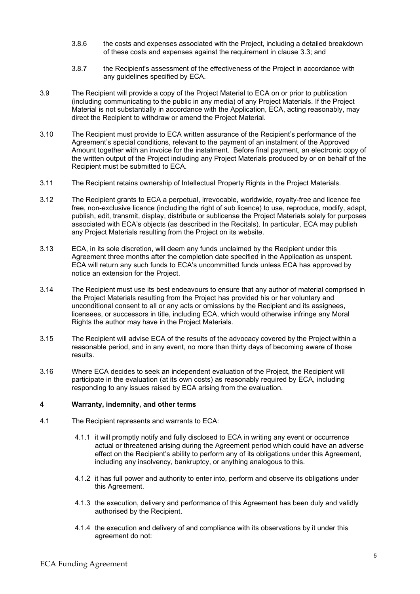- 3.8.6 the costs and expenses associated with the Project, including a detailed breakdown of these costs and expenses against the requirement in clause 3.3; and
- 3.8.7 the Recipient's assessment of the effectiveness of the Project in accordance with any guidelines specified by ECA.
- 3.9 The Recipient will provide a copy of the Project Material to ECA on or prior to publication (including communicating to the public in any media) of any Project Materials. If the Project Material is not substantially in accordance with the Application, ECA, acting reasonably, may direct the Recipient to withdraw or amend the Project Material.
- 3.10 The Recipient must provide to ECA written assurance of the Recipient's performance of the Agreement's special conditions, relevant to the payment of an instalment of the Approved Amount together with an invoice for the instalment. Before final payment, an electronic copy of the written output of the Project including any Project Materials produced by or on behalf of the Recipient must be submitted to ECA.
- 3.11 The Recipient retains ownership of Intellectual Property Rights in the Project Materials.
- 3.12 The Recipient grants to ECA a perpetual, irrevocable, worldwide, royalty-free and licence fee free, non-exclusive licence (including the right of sub licence) to use, reproduce, modify, adapt, publish, edit, transmit, display, distribute or sublicense the Project Materials solely for purposes associated with ECA's objects (as described in the Recitals). In particular, ECA may publish any Project Materials resulting from the Project on its website.
- 3.13 ECA, in its sole discretion, will deem any funds unclaimed by the Recipient under this Agreement three months after the completion date specified in the Application as unspent. ECA will return any such funds to ECA's uncommitted funds unless ECA has approved by notice an extension for the Project.
- 3.14 The Recipient must use its best endeavours to ensure that any author of material comprised in the Project Materials resulting from the Project has provided his or her voluntary and unconditional consent to all or any acts or omissions by the Recipient and its assignees, licensees, or successors in title, including ECA, which would otherwise infringe any Moral Rights the author may have in the Project Materials.
- 3.15 The Recipient will advise ECA of the results of the advocacy covered by the Project within a reasonable period, and in any event, no more than thirty days of becoming aware of those results.
- 3.16 Where ECA decides to seek an independent evaluation of the Project, the Recipient will participate in the evaluation (at its own costs) as reasonably required by ECA, including responding to any issues raised by ECA arising from the evaluation.

### **4 Warranty, indemnity, and other terms**

- 4.1 The Recipient represents and warrants to ECA:
	- 4.1.1 it will promptly notify and fully disclosed to ECA in writing any event or occurrence actual or threatened arising during the Agreement period which could have an adverse effect on the Recipient's ability to perform any of its obligations under this Agreement, including any insolvency, bankruptcy, or anything analogous to this.
	- 4.1.2 it has full power and authority to enter into, perform and observe its obligations under this Agreement.
	- 4.1.3 the execution, delivery and performance of this Agreement has been duly and validly authorised by the Recipient.
	- 4.1.4 the execution and delivery of and compliance with its observations by it under this agreement do not: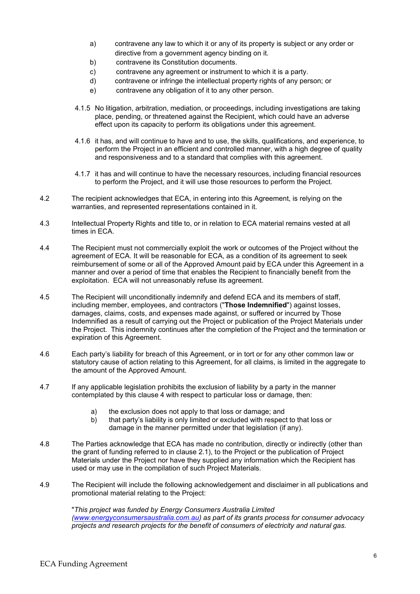- a) contravene any law to which it or any of its property is subject or any order or directive from a government agency binding on it.
- b) contravene its Constitution documents.
- c) contravene any agreement or instrument to which it is a party.
- d) contravene or infringe the intellectual property rights of any person; or
- e) contravene any obligation of it to any other person.
- 4.1.5 No litigation, arbitration, mediation, or proceedings, including investigations are taking place, pending, or threatened against the Recipient, which could have an adverse effect upon its capacity to perform its obligations under this agreement.
- 4.1.6 it has, and will continue to have and to use, the skills, qualifications, and experience, to perform the Project in an efficient and controlled manner, with a high degree of quality and responsiveness and to a standard that complies with this agreement.
- 4.1.7 it has and will continue to have the necessary resources, including financial resources to perform the Project, and it will use those resources to perform the Project.
- 4.2 The recipient acknowledges that ECA, in entering into this Agreement, is relying on the warranties, and represented representations contained in it.
- 4.3 Intellectual Property Rights and title to, or in relation to ECA material remains vested at all times in ECA.
- 4.4 The Recipient must not commercially exploit the work or outcomes of the Project without the agreement of ECA. It will be reasonable for ECA, as a condition of its agreement to seek reimbursement of some or all of the Approved Amount paid by ECA under this Agreement in a manner and over a period of time that enables the Recipient to financially benefit from the exploitation. ECA will not unreasonably refuse its agreement.
- 4.5 The Recipient will unconditionally indemnify and defend ECA and its members of staff, including member, employees, and contractors ("**Those Indemnified**") against losses, damages, claims, costs, and expenses made against, or suffered or incurred by Those Indemnified as a result of carrying out the Project or publication of the Project Materials under the Project. This indemnity continues after the completion of the Project and the termination or expiration of this Agreement.
- 4.6 Each party's liability for breach of this Agreement, or in tort or for any other common law or statutory cause of action relating to this Agreement, for all claims, is limited in the aggregate to the amount of the Approved Amount.
- 4.7 If any applicable legislation prohibits the exclusion of liability by a party in the manner contemplated by this clause 4 with respect to particular loss or damage, then:
	- a) the exclusion does not apply to that loss or damage; and b) that party's liability is only limited or excluded with respection
	- that party's liability is only limited or excluded with respect to that loss or damage in the manner permitted under that legislation (if any).
- 4.8 The Parties acknowledge that ECA has made no contribution, directly or indirectly (other than the grant of funding referred to in clause 2.1), to the Project or the publication of Project Materials under the Project nor have they supplied any information which the Recipient has used or may use in the compilation of such Project Materials.
- 4.9 The Recipient will include the following acknowledgement and disclaimer in all publications and promotional material relating to the Project:

"*This project was funded by Energy Consumers Australia Limited [\(www.energyconsumersaustralia.com.au\)](http://www.energyconsumersaustralia.com.au/) as part of its grants process for consumer advocacy projects and research projects for the benefit of consumers of electricity and natural gas.*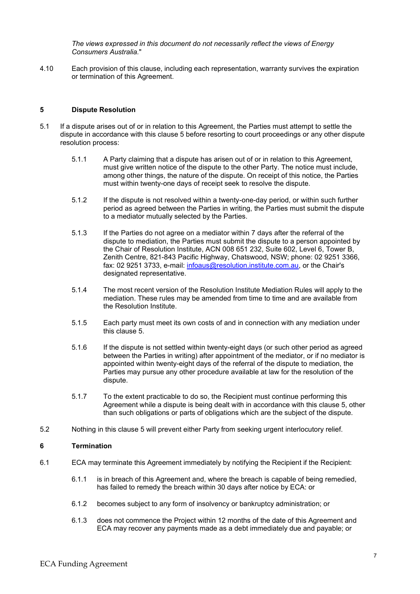*The views expressed in this document do not necessarily reflect the views of Energy Consumers Australia.*"

4.10 Each provision of this clause, including each representation, warranty survives the expiration or termination of this Agreement.

#### **5 Dispute Resolution**

- 5.1 If a dispute arises out of or in relation to this Agreement, the Parties must attempt to settle the dispute in accordance with this clause 5 before resorting to court proceedings or any other dispute resolution process:
	- 5.1.1 A Party claiming that a dispute has arisen out of or in relation to this Agreement, must give written notice of the dispute to the other Party. The notice must include, among other things, the nature of the dispute. On receipt of this notice, the Parties must within twenty-one days of receipt seek to resolve the dispute.
	- 5.1.2 If the dispute is not resolved within a twenty-one-day period, or within such further period as agreed between the Parties in writing, the Parties must submit the dispute to a mediator mutually selected by the Parties.
	- 5.1.3 If the Parties do not agree on a mediator within 7 days after the referral of the dispute to mediation, the Parties must submit the dispute to a person appointed by the Chair of Resolution Institute, ACN 008 651 232, Suite 602, Level 6, Tower B, Zenith Centre, 821-843 Pacific Highway, Chatswood, NSW; phone: 02 9251 3366, fax: 02 9251 3733, e-mail: [infoaus@resolution.institute.com.au,](mailto:infoaus@resolution.institute.com.au) or the Chair's designated representative.
	- 5.1.4 The most recent version of the Resolution Institute Mediation Rules will apply to the mediation. These rules may be amended from time to time and are available from the Resolution Institute.
	- 5.1.5 Each party must meet its own costs of and in connection with any mediation under this clause 5.
	- 5.1.6 If the dispute is not settled within twenty-eight days (or such other period as agreed between the Parties in writing) after appointment of the mediator, or if no mediator is appointed within twenty-eight days of the referral of the dispute to mediation, the Parties may pursue any other procedure available at law for the resolution of the dispute.
	- 5.1.7 To the extent practicable to do so, the Recipient must continue performing this Agreement while a dispute is being dealt with in accordance with this clause 5, other than such obligations or parts of obligations which are the subject of the dispute.
- 5.2 Nothing in this clause 5 will prevent either Party from seeking urgent interlocutory relief.

#### **6 Termination**

- 6.1 ECA may terminate this Agreement immediately by notifying the Recipient if the Recipient:
	- 6.1.1 is in breach of this Agreement and, where the breach is capable of being remedied, has failed to remedy the breach within 30 days after notice by ECA: or
	- 6.1.2 becomes subject to any form of insolvency or bankruptcy administration; or
	- 6.1.3 does not commence the Project within 12 months of the date of this Agreement and ECA may recover any payments made as a debt immediately due and payable; or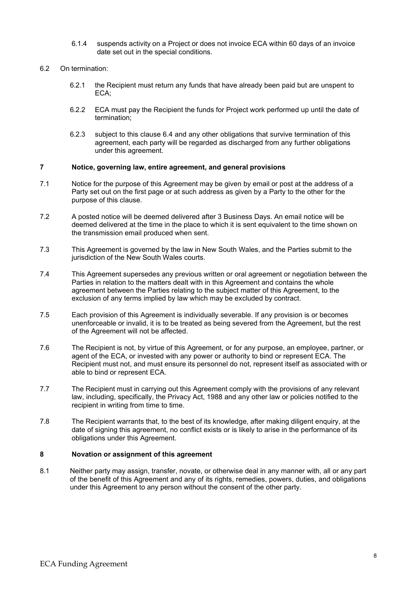- 6.1.4 suspends activity on a Project or does not invoice ECA within 60 days of an invoice date set out in the special conditions.
- 6.2 On termination:
	- 6.2.1 the Recipient must return any funds that have already been paid but are unspent to ECA;
	- 6.2.2 ECA must pay the Recipient the funds for Project work performed up until the date of termination;
	- 6.2.3 subject to this clause 6.4 and any other obligations that survive termination of this agreement, each party will be regarded as discharged from any further obligations under this agreement.

#### **7 Notice, governing law, entire agreement, and general provisions**

- 7.1 Notice for the purpose of this Agreement may be given by email or post at the address of a Party set out on the first page or at such address as given by a Party to the other for the purpose of this clause.
- 7.2 A posted notice will be deemed delivered after 3 Business Days. An email notice will be deemed delivered at the time in the place to which it is sent equivalent to the time shown on the transmission email produced when sent.
- 7.3 This Agreement is governed by the law in New South Wales, and the Parties submit to the jurisdiction of the New South Wales courts.
- 7.4 This Agreement supersedes any previous written or oral agreement or negotiation between the Parties in relation to the matters dealt with in this Agreement and contains the whole agreement between the Parties relating to the subject matter of this Agreement, to the exclusion of any terms implied by law which may be excluded by contract.
- 7.5 Each provision of this Agreement is individually severable. If any provision is or becomes unenforceable or invalid, it is to be treated as being severed from the Agreement, but the rest of the Agreement will not be affected.
- 7.6 The Recipient is not, by virtue of this Agreement, or for any purpose, an employee, partner, or agent of the ECA, or invested with any power or authority to bind or represent ECA. The Recipient must not, and must ensure its personnel do not, represent itself as associated with or able to bind or represent ECA.
- 7.7 The Recipient must in carrying out this Agreement comply with the provisions of any relevant law, including, specifically, the Privacy Act, 1988 and any other law or policies notified to the recipient in writing from time to time.
- 7.8 The Recipient warrants that, to the best of its knowledge, after making diligent enquiry, at the date of signing this agreement, no conflict exists or is likely to arise in the performance of its obligations under this Agreement.

#### **8 Novation or assignment of this agreement**

8.1 Neither party may assign, transfer, novate, or otherwise deal in any manner with, all or any part of the benefit of this Agreement and any of its rights, remedies, powers, duties, and obligations under this Agreement to any person without the consent of the other party.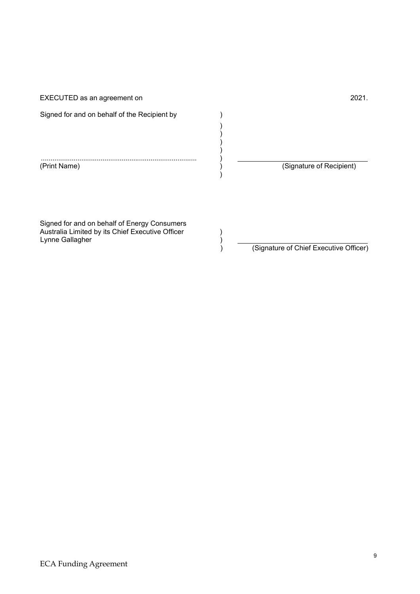EXECUTED as an agreement on 2021.

Signed for and on behalf of the Recipient by  $($ 

................................................................................. )

(Signature of Recipient)

)  $\mathcal{L}$ ) )

 $\lambda$ 

Signed for and on behalf of Energy Consumers Australia Limited by its Chief Executive Officer ) Australia Limited by its Chief Executive Officer ( )<br>Lynne Gallagher ( )<br>( )

) (Signature of Chief Executive Officer)